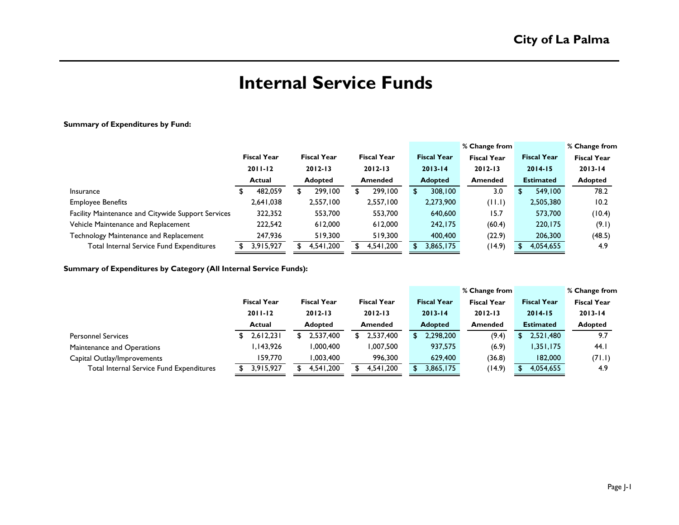# **Internal Service Funds**

### **Summary of Expenditures by Fund:**

|                                                    |                    |                    |                    |   |                    | % Change from      |                    | % Change from      |
|----------------------------------------------------|--------------------|--------------------|--------------------|---|--------------------|--------------------|--------------------|--------------------|
|                                                    | <b>Fiscal Year</b> | <b>Fiscal Year</b> | <b>Fiscal Year</b> |   | <b>Fiscal Year</b> | <b>Fiscal Year</b> | <b>Fiscal Year</b> | <b>Fiscal Year</b> |
|                                                    | $2011 - 12$        | $2012 - 13$        | $2012 - 13$        |   | $2013 - 14$        | $2012 - 13$        | $2014 - 15$        | $2013 - 14$        |
|                                                    | Actual             | <b>Adopted</b>     | <b>Amended</b>     |   | <b>Adopted</b>     | <b>Amended</b>     | <b>Estimated</b>   | <b>Adopted</b>     |
| Insurance                                          | 482,059            | 299,100            | 299.100            | S | 308,100            | 3.0                | 549.100            | 78.2               |
| <b>Employee Benefits</b>                           | 2,641,038          | 2,557,100          | 2,557,100          |   | 2,273,900          | (11.1)             | 2,505,380          | 10.2               |
| Facility Maintenance and Citywide Support Services | 322,352            | 553,700            | 553,700            |   | 640,600            | 15.7               | 573,700            | (10.4)             |
| Vehicle Maintenance and Replacement                | 222,542            | 612,000            | 612,000            |   | 242,175            | (60.4)             | 220,175            | (9.1)              |
| Technology Maintenance and Replacement             | 247,936            | 519,300            | 519,300            |   | 400,400            | (22.9)             | 206,300            | (48.5)             |
| Total Internal Service Fund Expenditures           | 3,915,927          | 4,541,200          | 4,541,200          |   | 3,865,175          | (14.9)             | 4,054,655          | 4.9                |

**Summary of Expenditures by Category (All Internal Service Funds):**

|                                          |                    |                    |                    |                    | % Change from      |                    | % Change from      |
|------------------------------------------|--------------------|--------------------|--------------------|--------------------|--------------------|--------------------|--------------------|
|                                          | <b>Fiscal Year</b> | <b>Fiscal Year</b> | <b>Fiscal Year</b> | <b>Fiscal Year</b> | <b>Fiscal Year</b> | <b>Fiscal Year</b> | <b>Fiscal Year</b> |
|                                          | $2011 - 12$        | $2012 - 13$        | $2012 - 13$        | $2013 - 14$        | $2012 - 13$        | $2014 - 15$        | $2013 - 14$        |
|                                          | <b>Actual</b>      | <b>Adopted</b>     | Amended            | <b>Adopted</b>     | <b>Amended</b>     | <b>Estimated</b>   | <b>Adopted</b>     |
| <b>Personnel Services</b>                | 2,612,231          | 2,537,400          | 2,537,400          | 2,298,200<br>SS.   | (9.4)              | 2,521,480<br>\$.   | 9.7                |
| Maintenance and Operations               | I, 143,926         | 1,000,400          | 1,007,500          | 937,575            | (6.9)              | 1,351,175          | 44.                |
| Capital Outlay/Improvements              | 159,770            | 1,003,400          | 996,300            | 629,400            | (36.8)             | 182,000            | (71.1)             |
| Total Internal Service Fund Expenditures | 3,915,927          | 4,541,200          | 4,541,200          | 3,865,175<br>S.    | (14.9)             | 4,054,655          | 4.9                |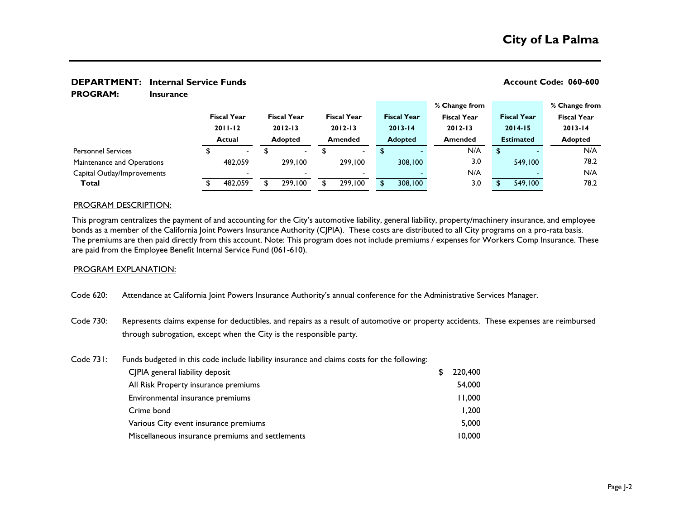### **DEPARTMENT:** Internal Service Funds **Account Code: 060-600 Account Code: 060-600**

**Insurance PROGRAM:** 

|                             |  |                              |  |                    |             |                          |             |                    | % Change from                 |     |                  |                    |                | % Change from      |
|-----------------------------|--|------------------------------|--|--------------------|-------------|--------------------------|-------------|--------------------|-------------------------------|-----|------------------|--------------------|----------------|--------------------|
|                             |  | <b>Fiscal Year</b>           |  | <b>Fiscal Year</b> |             | <b>Fiscal Year</b>       |             | <b>Fiscal Year</b> | <b>Fiscal Year</b>            |     |                  | <b>Fiscal Year</b> |                | <b>Fiscal Year</b> |
|                             |  | $2011 - 12$<br><b>Actual</b> |  | $2012 - 13$        | $2012 - 13$ |                          | $2013 - 14$ |                    | $2012 - 13$<br><b>Amended</b> |     |                  | $2014 - 15$        |                | $2013 - 14$        |
|                             |  |                              |  | <b>Adopted</b>     |             | <b>Amended</b>           |             | <b>Adopted</b>     |                               |     | <b>Estimated</b> |                    | <b>Adopted</b> |                    |
| <b>Personnel Services</b>   |  | $\blacksquare$               |  | $\sim$             |             | $\blacksquare$           |             |                    |                               | N/A | \$.              |                    |                | N/A                |
| Maintenance and Operations  |  | 482,059                      |  | 299,100            |             | 299,100                  |             | 308,100            |                               | 3.0 |                  | 549,100            |                | 78.2               |
| Capital Outlay/Improvements |  |                              |  |                    |             | $\overline{\phantom{0}}$ |             |                    |                               | N/A |                  |                    |                | N/A                |
| Total                       |  | 482.059                      |  | 299,100            |             | 299,100                  |             | 308,100            |                               | 3.0 |                  | 549,100            |                | 78.2               |
|                             |  |                              |  |                    |             |                          |             |                    |                               |     |                  |                    |                |                    |

### PROGRAM DESCRIPTION:

This program centralizes the payment of and accounting for the City's automotive liability, general liability, property/machinery insurance, and employee bonds as a member of the California Joint Powers Insurance Authority (CJPIA). These costs are distributed to all City programs on a pro-rata basis. The premiums are then paid directly from this account. Note: This program does not include premiums / expenses for Workers Comp Insurance. These are paid from the Employee Benefit Internal Service Fund (061-610).

### PROGRAM EXPLANATION:

- Code 620: Attendance at California Joint Powers Insurance Authority's annual conference for the Administrative Services Manager.
- Code 730: Represents claims expense for deductibles, and repairs as a result of automotive or property accidents. These expenses are reimbursed through subrogation, except when the City is the responsible party.

### Code 731: Funds budgeted in this code include liability insurance and claims costs for the following:

| C PIA general liability deposit                  | S. | 220,400 |
|--------------------------------------------------|----|---------|
| All Risk Property insurance premiums             |    | 54,000  |
| Environmental insurance premiums                 |    | 11,000  |
| Crime bond                                       |    | 1,200   |
| Various City event insurance premiums            |    | 5,000   |
| Miscellaneous insurance premiums and settlements |    | 10,000  |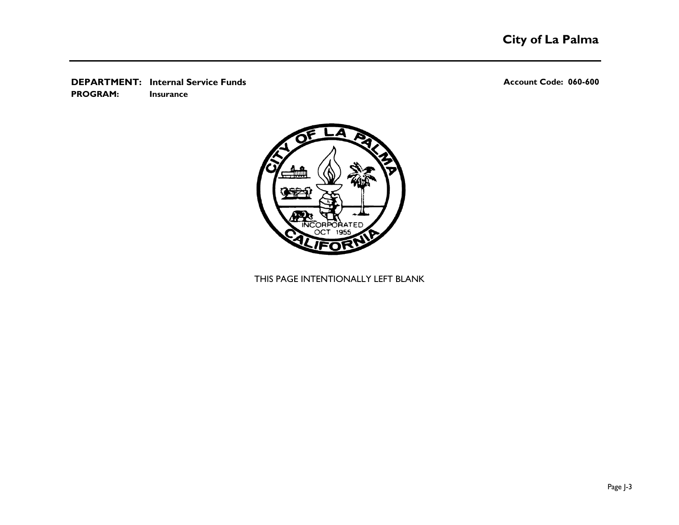**DEPARTMENT:** Internal Service Funds **Account Code: 060-600 Account Code: 060-600 Insurance PROGRAM:** 



THIS PAGE INTENTIONALLY LEFT BLANK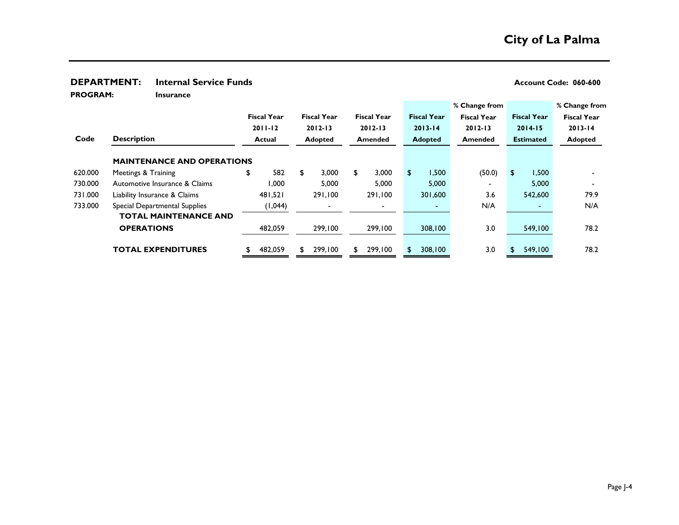### **DEPARTMENT:** Internal Service Funds<br> **DEPARTMENT:** Internal Service Funds

**PROGRAM:** 

| <b>PROGRAM:</b> | <b>Insurance</b>                  |                    |     |                    |                    |                    |                    |                    |                    |
|-----------------|-----------------------------------|--------------------|-----|--------------------|--------------------|--------------------|--------------------|--------------------|--------------------|
|                 |                                   |                    |     |                    |                    |                    | % Change from      |                    | % Change from      |
|                 |                                   | <b>Fiscal Year</b> |     | <b>Fiscal Year</b> | <b>Fiscal Year</b> | <b>Fiscal Year</b> | <b>Fiscal Year</b> | <b>Fiscal Year</b> | <b>Fiscal Year</b> |
|                 |                                   | $2011 - 12$        |     | $2012 - 13$        | $2012 - 13$        | $2013 - 14$        | $2012 - 13$        | $2014 - 15$        | $2013 - 14$        |
| Code            | <b>Description</b>                | Actual             |     | <b>Adopted</b>     | Amended            | <b>Adopted</b>     | Amended            | <b>Estimated</b>   | <b>Adopted</b>     |
|                 | <b>MAINTENANCE AND OPERATIONS</b> |                    |     |                    |                    |                    |                    |                    |                    |
| 620.000         | Meetings & Training               | \$<br>582          | \$  | 3,000              | \$<br>3,000        | \$<br>1,500        | (50.0)             | \$<br>1,500        |                    |
| 730.000         | Automotive Insurance & Claims     | 000. ا             |     | 5,000              | 5,000              | 5,000              |                    | 5,000              |                    |
| 731.000         | Liability Insurance & Claims      | 481.521            |     | 291,100            | 291,100            | 301,600            | 3.6                | 542,600            | 79.9               |
| 733.000         | Special Departmental Supplies     | (1,044)            |     |                    |                    | $\sim$             | N/A                | $\sim$             | N/A                |
|                 | <b>TOTAL MAINTENANCE AND</b>      |                    |     |                    |                    |                    |                    |                    |                    |
|                 | <b>OPERATIONS</b>                 | 482,059            |     | 299,100            | 299,100            | 308,100            | 3.0                | 549,100            | 78.2               |
|                 | <b>TOTAL EXPENDITURES</b>         | 482,059            | \$. | 299,100            | \$<br>299,100      | 308,100            | 3.0                | 549,100            | 78.2               |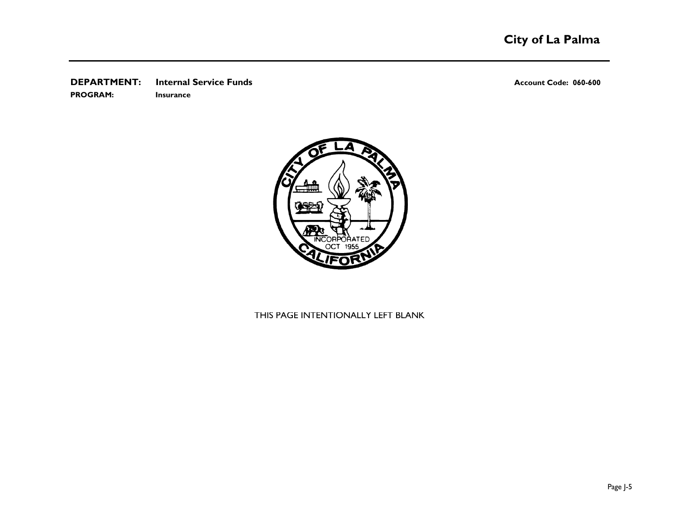### **DEPARTMENT:** Internal Service Funds<br> **Account Code: 060-600**

**PROGRAM: Insurance**



## THIS PAGE INTENTIONALLY LEFT BLANK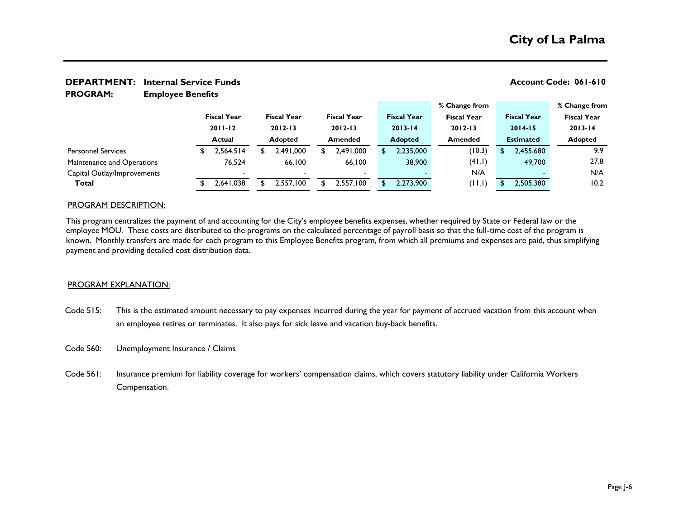**Employee Benefits PROGRAM:** 

|                             |                          |                    |                    |                    | % Change from      |                    | % Change from      |
|-----------------------------|--------------------------|--------------------|--------------------|--------------------|--------------------|--------------------|--------------------|
|                             | <b>Fiscal Year</b>       | <b>Fiscal Year</b> | <b>Fiscal Year</b> | <b>Fiscal Year</b> | <b>Fiscal Year</b> | <b>Fiscal Year</b> | <b>Fiscal Year</b> |
|                             | $2011 - 12$              | $2012 - 13$        | $2012 - 13$        | $2013 - 14$        | $2012 - 13$        | $2014 - 15$        | $2013 - 14$        |
|                             | <b>Actual</b>            | <b>Adopted</b>     | Amended            | <b>Adopted</b>     | <b>Amended</b>     | <b>Estimated</b>   | <b>Adopted</b>     |
| <b>Personnel Services</b>   | 2,564,514                | 2,491,000          | 2,491,000          | 2,235,000          | (10.3)             | 2,455,680          | 9.9                |
| Maintenance and Operations  | 76,524                   | 66.100             | 66.100             | 38,900             | (41.1)             | 49,700             | 27.8               |
| Capital Outlay/Improvements | $\overline{\phantom{0}}$ |                    |                    |                    | N/A                |                    | N/A                |
| Total                       | 2,641,038                | 2,557,100          | 2,557,100          | 2,273,900          | (11.1)             | 2,505,380          | 10.2               |
|                             |                          |                    |                    |                    |                    |                    |                    |

### PROGRAM DESCRIPTION:

This program centralizes the payment of and accounting for the City's employee benefits expenses, whether required by State or Federal law or the employee MOU. These costs are distributed to the programs on the calculated percentage of payroll basis so that the full-time cost of the program is known. Monthly transfers are made for each program to this Employee Benefits program, from which all premiums and expenses are paid, thus simplifying payment and providing detailed cost distribution data.

### PROGRAM EXPLANATION:

- Code 515: This is the estimated amount necessary to pay expenses incurred during the year for payment of accrued vacation from this account when an employee retires or terminates. It also pays for sick leave and vacation buy-back benefits.
- Code 560: Unemployment Insurance / Claims
- Code 561: Insurance premium for liability coverage for workers' compensation claims, which covers statutory liability under California Workers Compensation.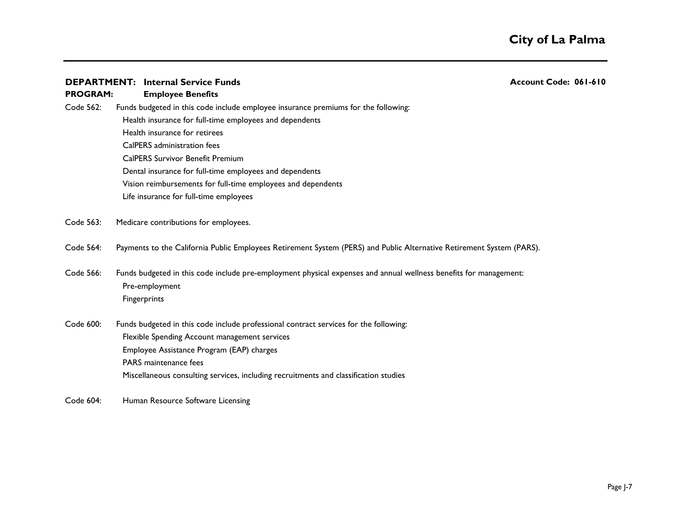**Employee Benefits PROGRAM:**  Code 562: Funds budgeted in this code include employee insurance premiums for the following: Health insurance for full-time employees and dependents Health insurance for retirees CalPERS administration fees CalPERS Survivor Benefit Premium Dental insurance for full-time employees and dependents Life insurance for full-time employees Vision reimbursements for full-time employees and dependents

Code 563: Medicare contributions for employees.

- Code 564: Payments to the California Public Employees Retirement System (PERS) and Public Alternative Retirement System (PARS).
- Code 566: Funds budgeted in this code include pre-employment physical expenses and annual wellness benefits for management: Pre-employment **Fingerprints**
- Code 600: Funds budgeted in this code include professional contract services for the following: Flexible Spending Account management services Employee Assistance Program (EAP) charges PARS maintenance fees Miscellaneous consulting services, including recruitments and classification studies
- Code 604: Human Resource Software Licensing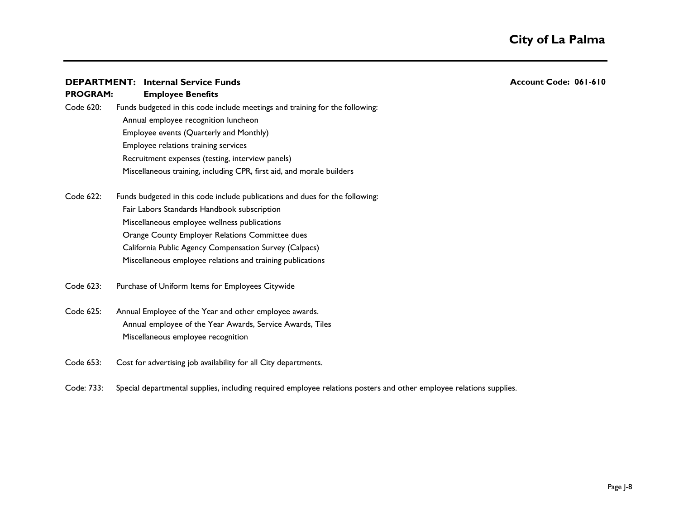**PROGRAM:** 

**Employee Benefits**

Annual employee recognition luncheon Employee events (Quarterly and Monthly)

Recruitment expenses (testing, interview panels)

Employee relations training services

Code 622: Funds budgeted in this code include publications and dues for the following: Fair Labors Standards Handbook subscription Miscellaneous employee wellness publications Orange County Employer Relations Committee dues California Public Agency Compensation Survey (Calpacs) Miscellaneous employee relations and training publications

Miscellaneous training, including CPR, first aid, and morale builders

Code 620: Funds budgeted in this code include meetings and training for the following:

- Code 623: Purchase of Uniform Items for Employees Citywide
- Code 625: Annual Employee of the Year and other employee awards. Annual employee of the Year Awards, Service Awards, Tiles Miscellaneous employee recognition
- Code 653: Cost for advertising job availability for all City departments.
- Code: 733: Special departmental supplies, including required employee relations posters and other employee relations supplies.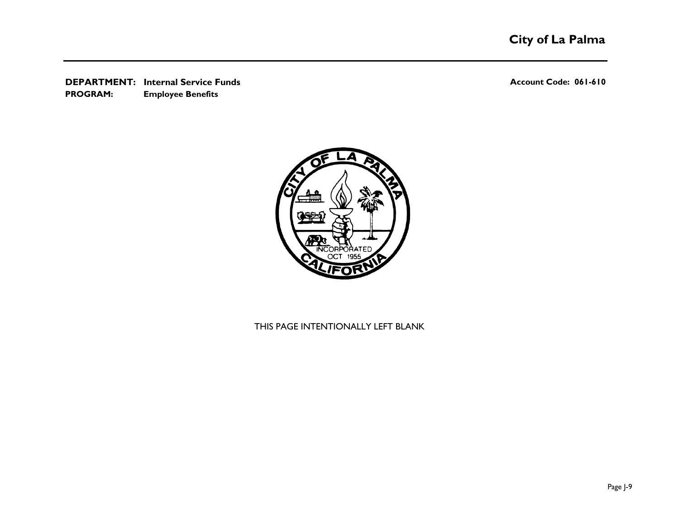**DEPARTMENT: Account Code: 061-610 Internal Service Funds Employee Benefits PROGRAM:** 



THIS PAGE INTENTIONALLY LEFT BLANK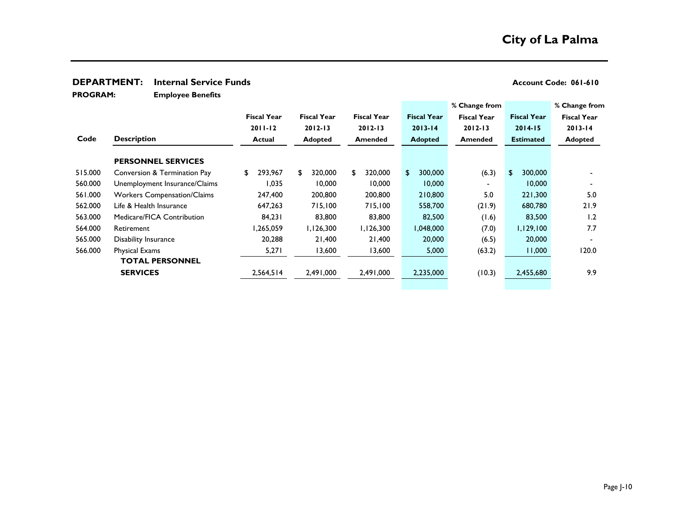### **DEPARTMENT:** Internal Service Funds<br> **Account Code: 061-610**

**Employee Benefits PROGRAM:** 

|                                    |                    |                    |                    |                         |                    |                    | % Change from      |
|------------------------------------|--------------------|--------------------|--------------------|-------------------------|--------------------|--------------------|--------------------|
|                                    | <b>Fiscal Year</b> | <b>Fiscal Year</b> | <b>Fiscal Year</b> | <b>Fiscal Year</b>      | <b>Fiscal Year</b> | <b>Fiscal Year</b> | <b>Fiscal Year</b> |
|                                    | $2011 - 12$        | $2012 - 13$        | $2012 - 13$        | $2013 - 14$             | $2012 - 13$        | $2014 - 15$        | $2013 - 14$        |
| <b>Description</b>                 | <b>Actual</b>      | <b>Adopted</b>     | <b>Amended</b>     | <b>Adopted</b>          | <b>Amended</b>     | <b>Estimated</b>   | <b>Adopted</b>     |
| <b>PERSONNEL SERVICES</b>          |                    |                    |                    |                         |                    |                    |                    |
| Conversion & Termination Pay       | 293,967<br>\$      | 320,000<br>\$      | 320,000<br>\$      | 300,000<br>$\mathbf{S}$ | (6.3)              | \$<br>300,000      |                    |
| Unemployment Insurance/Claims      | 1,035              | 10,000             | 10,000             | 10,000                  |                    | 10,000             |                    |
| <b>Workers Compensation/Claims</b> | 247,400            | 200,800            | 200,800            | 210,800                 | 5.0                | 221,300            | 5.0                |
| Life & Health Insurance            | 647,263            | 715,100            | 715,100            | 558,700                 | (21.9)             | 680,780            | 21.9               |
| Medicare/FICA Contribution         | 84,231             | 83,800             | 83,800             | 82,500                  | (1.6)              | 83,500             | 1.2                |
| Retirement                         | 1,265,059          | I, I 26,300        | 1,126,300          | 1,048,000               | (7.0)              | 1,129,100          | 7.7                |
| Disability Insurance               | 20,288             | 21,400             | 21,400             | 20,000                  | (6.5)              | 20,000             |                    |
| Physical Exams                     | 5,271              | 13,600             | 13,600             | 5,000                   | (63.2)             | 11,000             | 120.0              |
| <b>TOTAL PERSONNEL</b>             |                    |                    |                    |                         |                    |                    |                    |
| <b>SERVICES</b>                    | 2,564,514          | 2,491,000          | 2,491,000          | 2,235,000               | (10.3)             | 2,455,680          | 9.9                |
|                                    |                    |                    |                    |                         |                    | % Change from      |                    |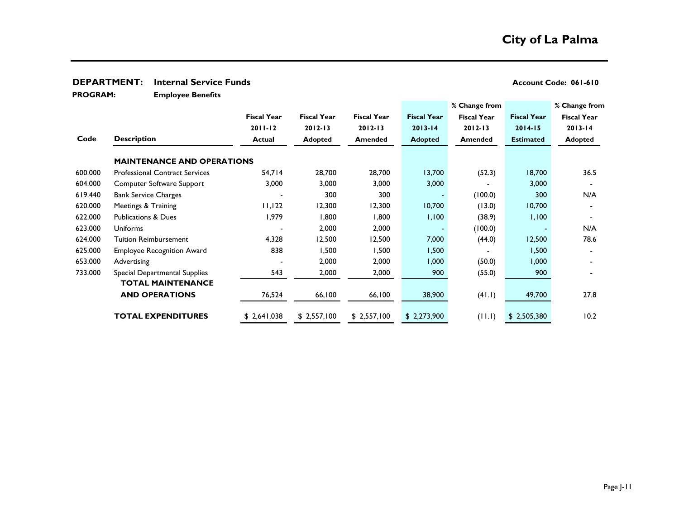### **DEPARTMENT:** Internal Service Funds<br> **Account Code: 061-610**

**Employee Benefits PROGRAM:** 

|         |                                       |                           |                    |                    |                    | % Change from      |                    | % Change from      |
|---------|---------------------------------------|---------------------------|--------------------|--------------------|--------------------|--------------------|--------------------|--------------------|
|         |                                       | <b>Fiscal Year</b>        | <b>Fiscal Year</b> | <b>Fiscal Year</b> | <b>Fiscal Year</b> | <b>Fiscal Year</b> | <b>Fiscal Year</b> | <b>Fiscal Year</b> |
|         |                                       | $2011 - 12$               | $2012 - 13$        | $2012 - 13$        | $2013 - 14$        | $2012 - 13$        | $2014 - 15$        | $2013 - 14$        |
| Code    | <b>Description</b>                    | <b>Actual</b>             | <b>Adopted</b>     | <b>Amended</b>     | <b>Adopted</b>     | <b>Amended</b>     | <b>Estimated</b>   | <b>Adopted</b>     |
|         | <b>MAINTENANCE AND OPERATIONS</b>     |                           |                    |                    |                    |                    |                    |                    |
| 600.000 | <b>Professional Contract Services</b> | 54,714                    | 28,700             | 28,700             | 13,700             | (52.3)             | 18,700             | 36.5               |
| 604.000 | Computer Software Support             | 3,000                     | 3,000              | 3,000              | 3,000              |                    | 3,000              |                    |
| 619.440 | <b>Bank Service Charges</b>           |                           | 300                | 300                |                    | (100.0)            | 300                | N/A                |
| 620.000 | Meetings & Training                   | $  \cdot  $ , $  \cdot  $ | 12,300             | 12,300             | 10,700             | (13.0)             | 10,700             |                    |
| 622.000 | <b>Publications &amp; Dues</b>        | 1,979                     | 1,800              | 800, ا             | 1,100              | (38.9)             | 1,100              |                    |
| 623.000 | <b>Uniforms</b>                       |                           | 2,000              | 2,000              |                    | (100.0)            |                    | N/A                |
| 624.000 | <b>Tuition Reimbursement</b>          | 4,328                     | 12,500             | 12,500             | 7,000              | (44.0)             | 12,500             | 78.6               |
| 625.000 | <b>Employee Recognition Award</b>     | 838                       | 1,500              | 1,500              | 1,500              |                    | 1,500              |                    |
| 653.000 | Advertising                           |                           | 2,000              | 2,000              | 1,000              | (50.0)             | 1,000              |                    |
| 733.000 | Special Departmental Supplies         | 543                       | 2,000              | 2,000              | 900                | (55.0)             | 900                |                    |
|         | <b>TOTAL MAINTENANCE</b>              |                           |                    |                    |                    |                    |                    |                    |
|         | <b>AND OPERATIONS</b>                 | 76,524                    | 66,100             | 66,100             | 38,900             | (41.1)             | 49,700             | 27.8               |
|         | <b>TOTAL EXPENDITURES</b>             | \$2,641,038               | \$2,557,100        | \$2,557,100        | \$2,273,900        | (11.1)             | \$2,505,380        | 10.2               |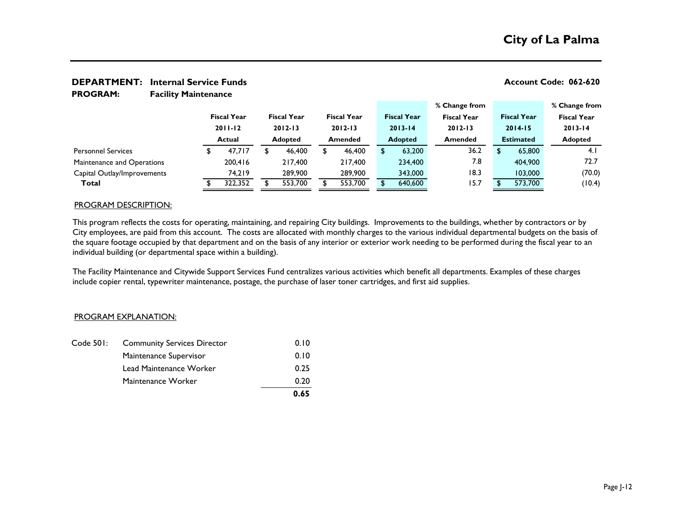**Facility Maintenance PROGRAM:** 

|                             |                    |  |                    |         |                    |                |                    |                | % Change from      |                  |                    | % Change from      |
|-----------------------------|--------------------|--|--------------------|---------|--------------------|----------------|--------------------|----------------|--------------------|------------------|--------------------|--------------------|
|                             | <b>Fiscal Year</b> |  | <b>Fiscal Year</b> |         | <b>Fiscal Year</b> |                | <b>Fiscal Year</b> |                | <b>Fiscal Year</b> |                  | <b>Fiscal Year</b> | <b>Fiscal Year</b> |
|                             | $2011 - 12$        |  | $2012 - 13$        |         | $2012 - 13$        |                | $2013 - 14$        |                | $2012 - 13$        |                  | $2014 - 15$        | $2013 - 14$        |
|                             | <b>Actual</b>      |  | <b>Adopted</b>     | Amended |                    | <b>Adopted</b> |                    | <b>Amended</b> |                    | <b>Estimated</b> |                    | <b>Adopted</b>     |
| <b>Personnel Services</b>   | 47.717             |  | 46,400             |         | 46,400             |                | 63,200             |                | 36.2               |                  | 65,800             | 4.1                |
| Maintenance and Operations  | 200,416            |  | 217,400            |         | 217.400            |                | 234,400            |                | 7.8                |                  | 404,900            | 72.7               |
| Capital Outlay/Improvements | 74.219             |  | 289,900            |         | 289,900            |                | 343,000            |                | 18.3               |                  | 103,000            | (70.0)             |
| Total                       | 322,352            |  | 553,700            |         | 553,700            |                | 640,600            |                | 15.7               |                  | 573,700            | (10.4)             |

### PROGRAM DESCRIPTION:

This program reflects the costs for operating, maintaining, and repairing City buildings. Improvements to the buildings, whether by contractors or by City employees, are paid from this account. The costs are allocated with monthly charges to the various individual departmental budgets on the basis of the square footage occupied by that department and on the basis of any interior or exterior work needing to be performed during the fiscal year to an individual building (or departmental space within a building).

The Facility Maintenance and Citywide Support Services Fund centralizes various activities which benefit all departments. Examples of these charges include copier rental, typewriter maintenance, postage, the purchase of laser toner cartridges, and first aid supplies.

### PROGRAM EXPLANATION:

|           |                                    | 0.65 |
|-----------|------------------------------------|------|
|           | Maintenance Worker                 | 0.20 |
|           | Lead Maintenance Worker            | 0.25 |
|           | Maintenance Supervisor             | 0.10 |
| Code 501: | <b>Community Services Director</b> | 0.10 |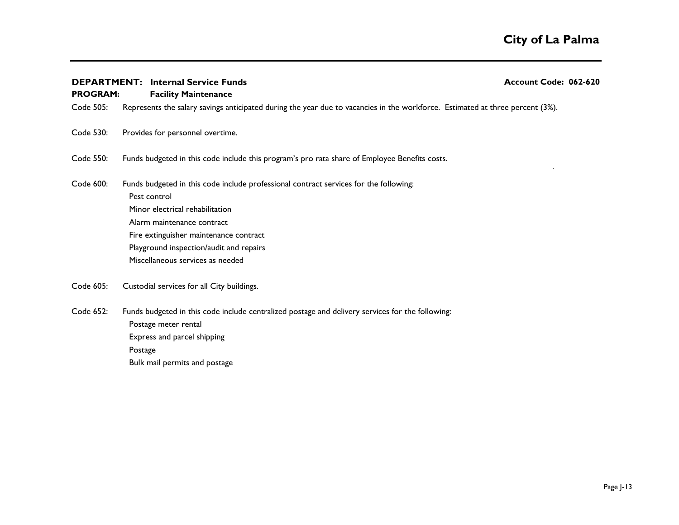`

**Facility Maintenance PROGRAM:** 

Code 505: Represents the salary savings anticipated during the year due to vacancies in the workforce. Estimated at three percent (3%).

Code 530: Provides for personnel overtime.

- Code 550: Funds budgeted in this code include this program's pro rata share of Employee Benefits costs.
- Code 600: Funds budgeted in this code include professional contract services for the following: Pest control Minor electrical rehabilitation Alarm maintenance contract Fire extinguisher maintenance contract Playground inspection/audit and repairs - Miscellaneous services as needed
- Code 605: Custodial services for all City buildings.
- Code 652: Funds budgeted in this code include centralized postage and delivery services for the following: Postage meter rental Express and parcel shipping Postage 16,000 million and the contract of the contract of the contract of the contract of the contract of the contract of the contract of the contract of the contract of the contract of the contract of the contract of the Bulk mail permits and postage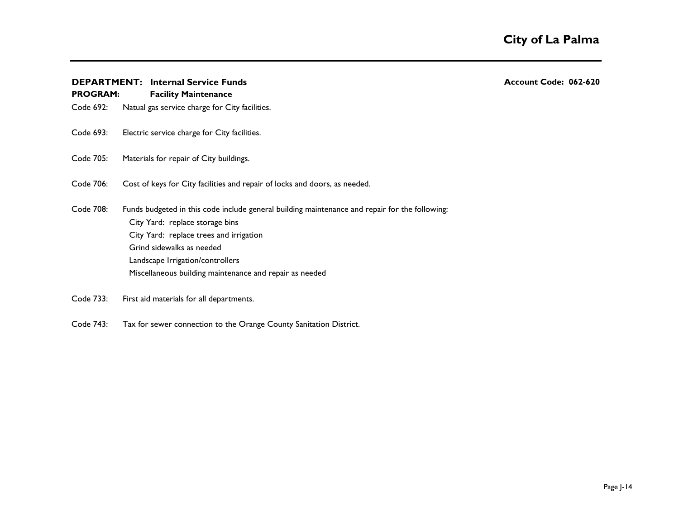**PROGRAM:** 

Code 692: Natual gas service charge for City facilities.

**Facility Maintenance**

- Code 693: Electric service charge for City facilities.
- Code 705: Materials for repair of City buildings.
- Code 706: Cost of keys for City facilities and repair of locks and doors, as needed.
- Code 708: Funds budgeted in this code include general building maintenance and repair for the following: City Yard: replace storage bins City Yard: replace trees and irrigation Grind sidewalks as needed Landscape Irrigation/controllers Miscellaneous building maintenance and repair as needed
- Code 733: First aid materials for all departments.
- Code 743: Tax for sewer connection to the Orange County Sanitation District.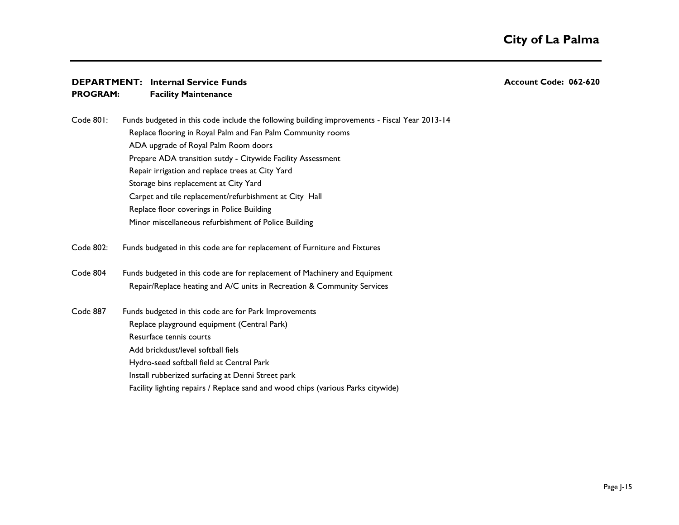**Facility Maintenance PROGRAM:** 

Code 801: Funds budgeted in this code include the following building improvements - Fiscal Year 2013-14 Replace flooring in Royal Palm and Fan Palm Community rooms ADA upgrade of Royal Palm Room doors Prepare ADA transition sutdy - Citywide Facility Assessment Repair irrigation and replace trees at City Yard Storage bins replacement at City Yard Carpet and tile replacement/refurbishment at City Hall Replace floor coverings in Police Building Minor miscellaneous refurbishment of Police Building

Code 802: Funds budgeted in this code are for replacement of Furniture and Fixtures

Code 804 Funds budgeted in this code are for replacement of Machinery and Equipment Repair/Replace heating and A/C units in Recreation & Community Services

Code 887 Funds budgeted in this code are for Park Improvements Replace playground equipment (Central Park) Resurface tennis courts Add brickdust/level softball fiels Hydro-seed softball field at Central Park Install rubberized surfacing at Denni Street park Facility lighting repairs / Replace sand and wood chips (various Parks citywide)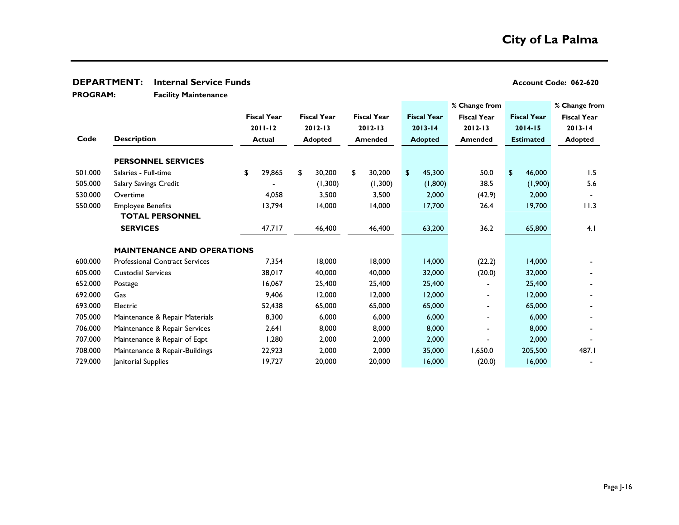### **DEPARTMENT:** Internal Service Funds<br> **DEPARTMENT:** Internal Service Funds

**Facility Maintenance PROGRAM:** 

|         |                                       |                    |                    |                    |                    | % Change from      |                    | % Change from      |
|---------|---------------------------------------|--------------------|--------------------|--------------------|--------------------|--------------------|--------------------|--------------------|
|         |                                       | <b>Fiscal Year</b> | <b>Fiscal Year</b> | <b>Fiscal Year</b> | <b>Fiscal Year</b> | <b>Fiscal Year</b> | <b>Fiscal Year</b> | <b>Fiscal Year</b> |
|         |                                       | $2011 - 12$        | $2012 - 13$        | $2012 - 13$        | $2013 - 14$        | $2012 - 13$        | $2014 - 15$        | $2013 - 14$        |
| Code    | <b>Description</b>                    | <b>Actual</b>      | <b>Adopted</b>     | <b>Amended</b>     | <b>Adopted</b>     | <b>Amended</b>     | <b>Estimated</b>   | <b>Adopted</b>     |
|         | <b>PERSONNEL SERVICES</b>             |                    |                    |                    |                    |                    |                    |                    |
| 501.000 | Salaries - Full-time                  | \$<br>29,865       | \$<br>30,200       | \$<br>30,200       | \$<br>45,300       | 50.0               | \$<br>46,000       | 1.5                |
| 505.000 | Salary Savings Credit                 |                    | (1,300)            | (1,300)            | (1,800)            | 38.5               | (1,900)            | 5.6                |
| 530.000 | Overtime                              | 4,058              | 3,500              | 3,500              | 2,000              | (42.9)             | 2,000              |                    |
| 550.000 | <b>Employee Benefits</b>              | 13,794             | 14,000             | 14,000             | 17,700             | 26.4               | 19,700             | 11.3               |
|         | <b>TOTAL PERSONNEL</b>                |                    |                    |                    |                    |                    |                    |                    |
|         | <b>SERVICES</b>                       | 47,717             | 46,400             | 46,400             | 63,200             | 36.2               | 65,800             | 4.1                |
|         | <b>MAINTENANCE AND OPERATIONS</b>     |                    |                    |                    |                    |                    |                    |                    |
| 600.000 | <b>Professional Contract Services</b> | 7,354              | 18,000             | 18,000             | 14,000             | (22.2)             | 14,000             |                    |
| 605.000 | <b>Custodial Services</b>             | 38,017             | 40,000             | 40,000             | 32,000             | (20.0)             | 32,000             |                    |
| 652.000 | Postage                               | 16,067             | 25,400             | 25,400             | 25,400             |                    | 25,400             |                    |
| 692.000 | Gas                                   | 9,406              | 12,000             | 12,000             | 12,000             |                    | 12,000             |                    |
| 693.000 | Electric                              | 52,438             | 65,000             | 65,000             | 65,000             |                    | 65,000             |                    |
| 705.000 | Maintenance & Repair Materials        | 8,300              | 6,000              | 6,000              | 6,000              |                    | 6,000              |                    |
| 706.000 | Maintenance & Repair Services         | 2,641              | 8,000              | 8,000              | 8,000              | $\blacksquare$     | 8,000              |                    |
| 707.000 | Maintenance & Repair of Eqpt          | 1,280              | 2,000              | 2,000              | 2,000              |                    | 2,000              |                    |
| 708.000 | Maintenance & Repair-Buildings        | 22,923             | 2,000              | 2,000              | 35,000             | 1,650.0            | 205,500            | 487.I              |
| 729.000 | Janitorial Supplies                   | 19,727             | 20,000             | 20,000             | 16,000             | (20.0)             | 16,000             |                    |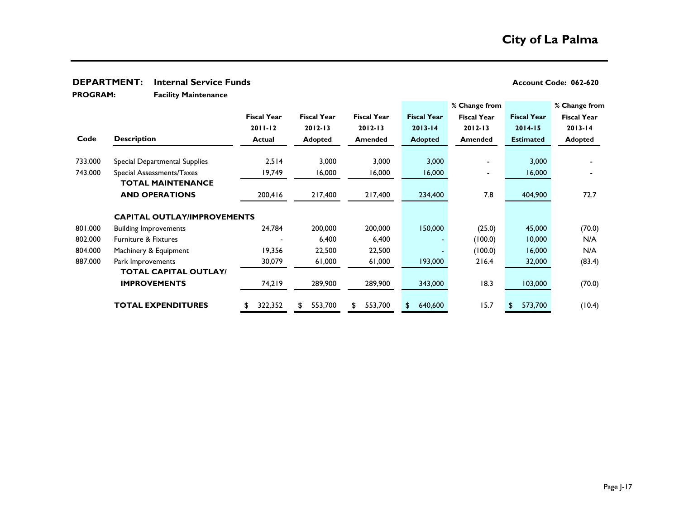### **DEPARTMENT:** Internal Service Funds<br> **DEPARTMENT:** Internal Service Funds

**Facility Maintenance PROGRAM:** 

|         |                                    |                    |                    |                    |                    | % Change from      |                    | % Change from      |
|---------|------------------------------------|--------------------|--------------------|--------------------|--------------------|--------------------|--------------------|--------------------|
|         |                                    | <b>Fiscal Year</b> | <b>Fiscal Year</b> | <b>Fiscal Year</b> | <b>Fiscal Year</b> | <b>Fiscal Year</b> | <b>Fiscal Year</b> | <b>Fiscal Year</b> |
|         |                                    | $2011 - 12$        | $2012 - 13$        | $2012 - 13$        | $2013 - 14$        | $2012 - 13$        | $2014 - 15$        | $2013 - 14$        |
| Code    | <b>Description</b>                 | <b>Actual</b>      | <b>Adopted</b>     | <b>Amended</b>     | <b>Adopted</b>     | <b>Amended</b>     | <b>Estimated</b>   | <b>Adopted</b>     |
| 733.000 | Special Departmental Supplies      | 2,514              | 3,000              | 3,000              | 3,000              |                    | 3,000              |                    |
| 743.000 | Special Assessments/Taxes          | 19,749             | 16,000             | 16,000             | 16,000             |                    | 16,000             |                    |
|         | <b>TOTAL MAINTENANCE</b>           |                    |                    |                    |                    |                    |                    |                    |
|         | <b>AND OPERATIONS</b>              | 200,416            | 217,400            | 217,400            | 234,400            | 7.8                | 404,900            | 72.7               |
|         | <b>CAPITAL OUTLAY/IMPROVEMENTS</b> |                    |                    |                    |                    |                    |                    |                    |
| 801.000 | <b>Building Improvements</b>       | 24,784             | 200,000            | 200,000            | 150,000            | (25.0)             | 45,000             | (70.0)             |
| 802.000 | <b>Furniture &amp; Fixtures</b>    |                    | 6,400              | 6,400              |                    | (100.0)            | 10,000             | N/A                |
| 804.000 | Machinery & Equipment              | 19,356             | 22,500             | 22,500             |                    | (100.0)            | 16,000             | N/A                |
| 887.000 | Park Improvements                  | 30,079             | 61,000             | 61,000             | 193,000            | 216.4              | 32,000             | (83.4)             |
|         | <b>TOTAL CAPITAL OUTLAY/</b>       |                    |                    |                    |                    |                    |                    |                    |
|         | <b>IMPROVEMENTS</b>                | 74,219             | 289,900            | 289,900            | 343,000            | 18.3               | 103,000            | (70.0)             |
|         | <b>TOTAL EXPENDITURES</b>          | 322,352            | 553,700<br>\$      | 553,700<br>£.      | 640,600            | 15.7               | 573,700<br>\$.     | (10.4)             |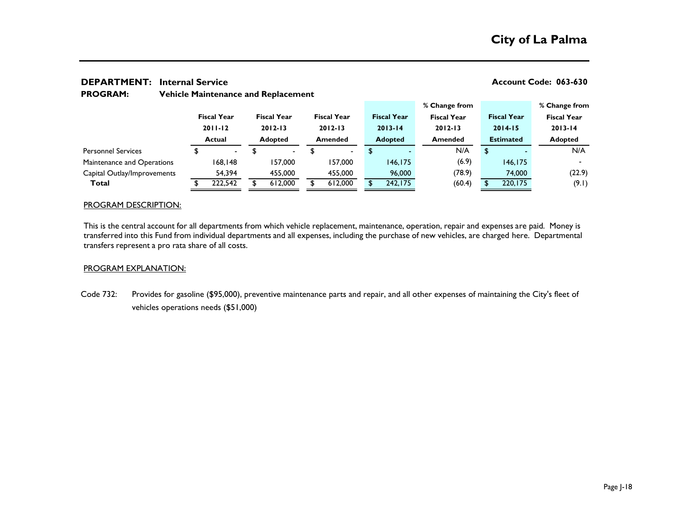## **% Change from % Change from Fiscal Year Fiscal Year Fiscal Year Fiscal Year Fiscal Year Fiscal Year Fiscal Year 2011-12 2012-13 2012-13 2013-14 2012-13 2014-15 2013-14 Actual Adopted Amended Adopted Amended Estimated Adopted** Personnel Services 5 5 - \$ - \$ 5 - N/A \$ - N/A Maintenance and Operations 168,148 157,000 157,000 146,175 (6.9) 146,175 166,175 Capital Outlay/Improvements 54,394 455,000 455,000 96,000 (78.9) 74,000 (22.9) **Total** \$ 222,542 \$ 612,000 \$ 612,000 \$ 242,175 (60.4) \$ 220,175 (9.1)

### **DEPARTMENT:** Internal Service **Account Code: 063-630** Account Code: 063-630 **Vehicle Maintenance and Replacement PROGRAM:**

### PROGRAM DESCRIPTION:

This is the central account for all departments from which vehicle replacement, maintenance, operation, repair and expenses are paid. Money is transferred into this Fund from individual departments and all expenses, including the purchase of new vehicles, are charged here. Departmental transfers represent a pro rata share of all costs.

### PROGRAM EXPLANATION:

Code 732: Provides for gasoline (\$95,000), preventive maintenance parts and repair, and all other expenses of maintaining the City's fleet of vehicles operations needs (\$51,000)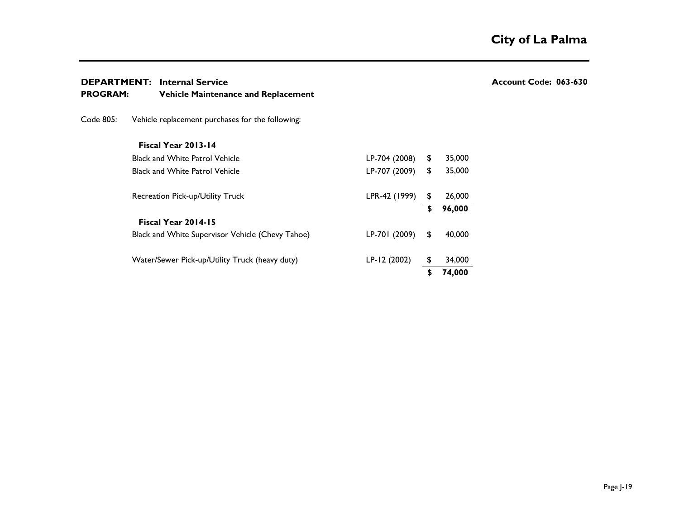### **DEPARTMENT:** Internal Service **Account Code: 063-630** Account Code: 063-630

| <b>PROGRAM:</b> |  | <b>Vehicle Maintenance and Replacement</b> |
|-----------------|--|--------------------------------------------|
|                 |  |                                            |

Code 805: Vehicle replacement purchases for the following:

### **Fiscal Year 2013-14**

| <b>Black and White Patrol Vehicle</b>            | LP-704 (2008) | \$ | 35,000 |
|--------------------------------------------------|---------------|----|--------|
| <b>Black and White Patrol Vehicle</b>            | LP-707 (2009) | \$ | 35,000 |
| Recreation Pick-up/Utility Truck                 | LPR-42 (1999) | \$ | 26,000 |
|                                                  |               | \$ | 96,000 |
| Fiscal Year 2014-15                              |               |    |        |
| Black and White Supervisor Vehicle (Chevy Tahoe) | LP-701 (2009) | \$ | 40,000 |
| Water/Sewer Pick-up/Utility Truck (heavy duty)   | LP-12 (2002)  | \$ | 34,000 |
|                                                  |               | S  | 74,000 |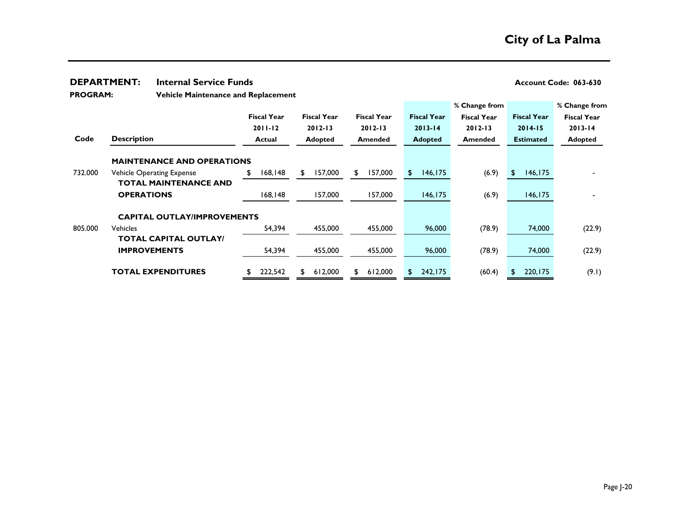### **DEPARTMENT:** Internal Service Funds<br> **DEPARTMENT:** Internal Service Funds

**Vehicle Maintenance and Replacement PROGRAM:** 

|                            |                                    |                    |                    |    |                    |                    |          | % Change from      |        |                    | % Change from      |        |
|----------------------------|------------------------------------|--------------------|--------------------|----|--------------------|--------------------|----------|--------------------|--------|--------------------|--------------------|--------|
|                            |                                    | <b>Fiscal Year</b> | <b>Fiscal Year</b> |    | <b>Fiscal Year</b> | <b>Fiscal Year</b> |          | <b>Fiscal Year</b> |        | <b>Fiscal Year</b> | <b>Fiscal Year</b> |        |
|                            |                                    | $2011 - 12$        | $2012 - 13$        |    | $2012 - 13$        | $2013 - 14$        |          | $2012 - 13$        |        | $2014 - 15$        | $2013 - 14$        |        |
| Code                       | <b>Description</b>                 | <b>Actual</b>      | <b>Adopted</b>     |    | <b>Amended</b>     | <b>Adopted</b>     |          | Amended            |        | <b>Estimated</b>   | <b>Adopted</b>     |        |
|                            | <b>MAINTENANCE AND OPERATIONS</b>  |                    |                    |    |                    |                    |          |                    |        |                    |                    |        |
| 732.000                    | <b>Vehicle Operating Expense</b>   | 168,148<br>S       | 157,000<br>\$      | £. | 157,000            | \$                 | 146, 175 |                    | (6.9)  | \$<br>146, 175     |                    |        |
|                            | <b>TOTAL MAINTENANCE AND</b>       |                    |                    |    |                    |                    |          |                    |        |                    |                    |        |
|                            | <b>OPERATIONS</b>                  | 168,148            | 157,000            |    | 157,000            |                    | 146, 175 |                    | (6.9)  | 146, 175           |                    |        |
|                            | <b>CAPITAL OUTLAY/IMPROVEMENTS</b> |                    |                    |    |                    |                    |          |                    |        |                    |                    |        |
| 805,000<br><b>Vehicles</b> |                                    | 54,394             | 455,000            |    | 455,000            |                    | 96,000   |                    | (78.9) | 74,000             |                    | (22.9) |
|                            | <b>TOTAL CAPITAL OUTLAY/</b>       |                    |                    |    |                    |                    |          |                    |        |                    |                    |        |
|                            | <b>IMPROVEMENTS</b>                | 54,394             | 455,000            |    | 455,000            |                    | 96,000   |                    | (78.9) | 74,000             |                    | (22.9) |
|                            | <b>TOTAL EXPENDITURES</b>          | 222,542            | 612,000<br>\$      | S. | 612,000            | \$                 | 242,175  |                    | (60.4) | 220,175            |                    | (9.1)  |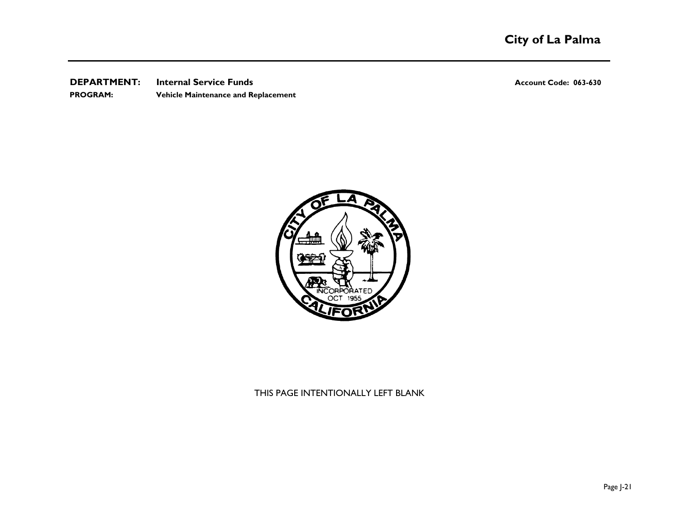**DEPARTMENT:** Internal Service Funds<br> **DEPARTMENT:** Internal Service Funds **PROGRAM: Vehicle Maintenance and Replacement**



THIS PAGE INTENTIONALLY LEFT BLANK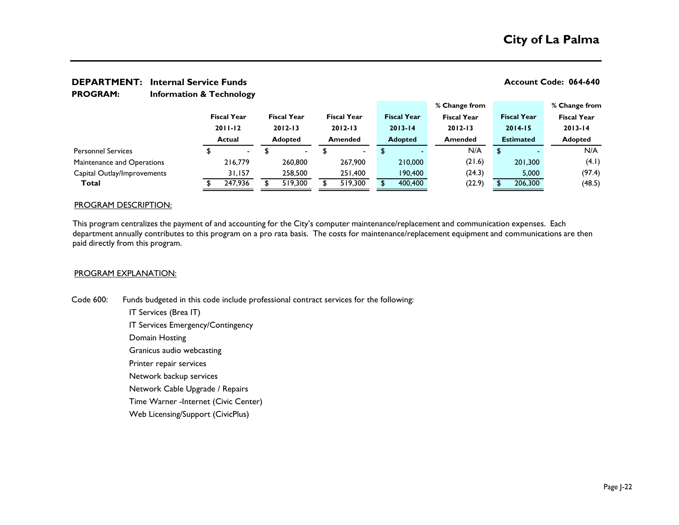## **DEPARTMENT:** Internal Service Funds **Account Code: 064-640 Account Code: 064-640**

**Information & Technology PROGRAM:** 

|                             |                                   |                |                                   |         |                                   |         |             |                    | % Change from      |        |                    |         | % Change from      |        |
|-----------------------------|-----------------------------------|----------------|-----------------------------------|---------|-----------------------------------|---------|-------------|--------------------|--------------------|--------|--------------------|---------|--------------------|--------|
|                             | <b>Fiscal Year</b><br>$2011 - 12$ |                | <b>Fiscal Year</b><br>$2012 - 13$ |         | <b>Fiscal Year</b><br>$2012 - 13$ |         |             | <b>Fiscal Year</b> | <b>Fiscal Year</b> |        | <b>Fiscal Year</b> |         | <b>Fiscal Year</b> |        |
|                             |                                   |                |                                   |         |                                   |         | $2013 - 14$ |                    | $2012 - 13$        |        | $2014 - 15$        |         | $2013 - 14$        |        |
|                             |                                   | <b>Actual</b>  | <b>Adopted</b>                    |         | Amended                           |         |             | <b>Adopted</b>     | <b>Amended</b>     |        | <b>Estimated</b>   |         | <b>Adopted</b>     |        |
| <b>Personnel Services</b>   |                                   | $\blacksquare$ |                                   | $\sim$  |                                   |         |             |                    |                    | N/A    |                    |         |                    | N/A    |
| Maintenance and Operations  |                                   | 216,779        |                                   | 260,800 |                                   | 267,900 |             | 210,000            |                    | (21.6) |                    | 201,300 |                    | (4.1)  |
| Capital Outlay/Improvements |                                   | 31,157         |                                   | 258,500 |                                   | 251,400 |             | 190,400            |                    | (24.3) |                    | 5,000   |                    | (97.4) |
| Total                       |                                   | 247,936        |                                   | 519,300 |                                   | 519,300 |             | 400,400            |                    | (22.9) |                    | 206,300 |                    | (48.5) |

### PROGRAM DESCRIPTION:

This program centralizes the payment of and accounting for the City's computer maintenance/replacement and communication expenses. Each department annually contributes to this program on a pro rata basis. The costs for maintenance/replacement equipment and communications are then paid directly from this program.

### PROGRAM EXPLANATION:

Code 600: Funds budgeted in this code include professional contract services for the following:

IT Services (Brea IT) IT Services Emergency/Contingency Domain Hosting Granicus audio webcasting Printer repair services Network backup services Network Cable Upgrade / Repairs Time Warner -Internet (Civic Center) Web Licensing/Support (CivicPlus)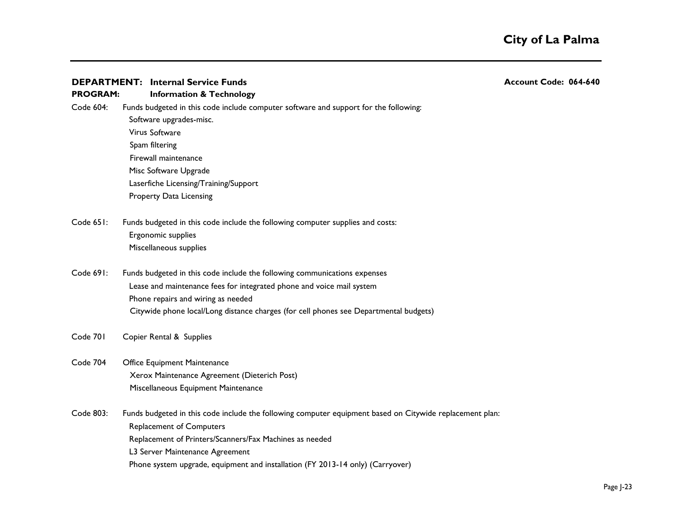### **DEPARTMENT:** Internal Service Funds **Account Code: 064-640 Account Code: 064-640**

### **Information & Technology PROGRAM:**

Code 604: Funds budgeted in this code include computer software and support for the following: Software upgrades-misc. Virus Software Spam filtering Firewall maintenance Misc Software Upgrade Laserfiche Licensing/Training/Support Property Data Licensing

- Code 651: Funds budgeted in this code include the following computer supplies and costs: Ergonomic supplies Miscellaneous supplies
- Code 691: Funds budgeted in this code include the following communications expenses Lease and maintenance fees for integrated phone and voice mail system Phone repairs and wiring as needed Citywide phone local/Long distance charges (for cell phones see Departmental budgets)
- Code 701 Copier Rental & Supplies
- Code 704 Office Equipment Maintenance Xerox Maintenance Agreement (Dieterich Post) Miscellaneous Equipment Maintenance

Code 803: Funds budgeted in this code include the following computer equipment based on Citywide replacement plan: Replacement of Computers Replacement of Printers/Scanners/Fax Machines as needed L3 Server Maintenance Agreement Phone system upgrade, equipment and installation (FY 2013-14 only) (Carryover)